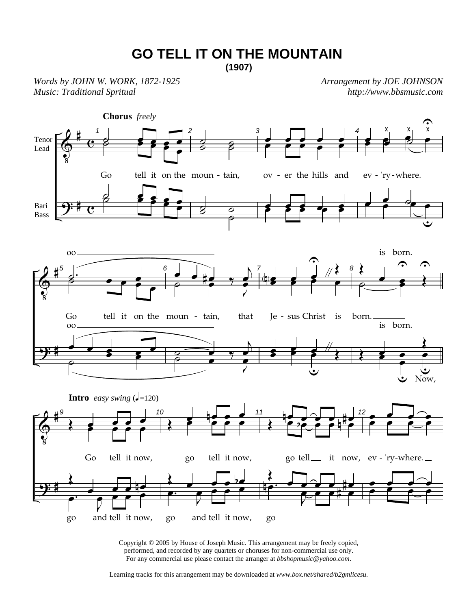## **GO TELL IT ON THE MOUNTAIN (1907)**

*Words by JOHN W. WORK, 1872-1925 Music: Traditional Spritual* 

*Arrangement by JOE JOHNSON http://www.bbsmusic.com*



Copyright © 2005 by House of Joseph Music. This arrangement may be freely copied, performed, and recorded by any quartets or choruses for non-commercial use only. For any commercial use please contact the arranger at *bbshopmusic@yahoo.com*.

Learning tracks for this arrangement may be downloaded at *www.box.net/shared/b2gmlicesu.*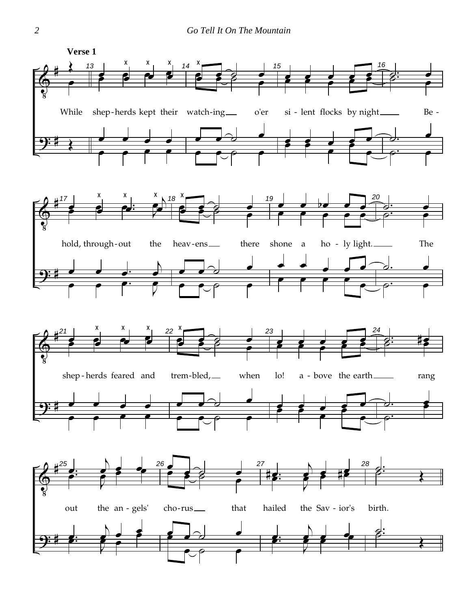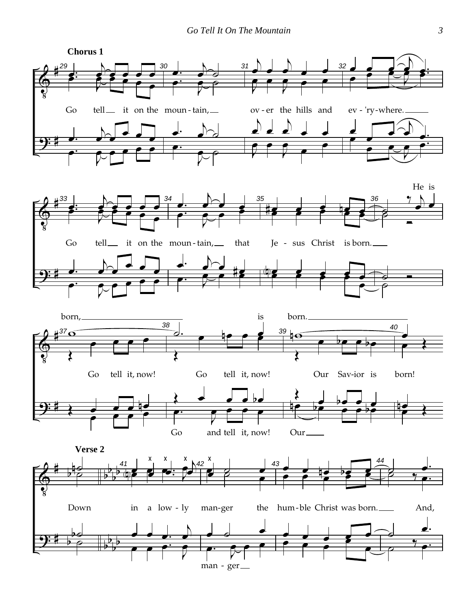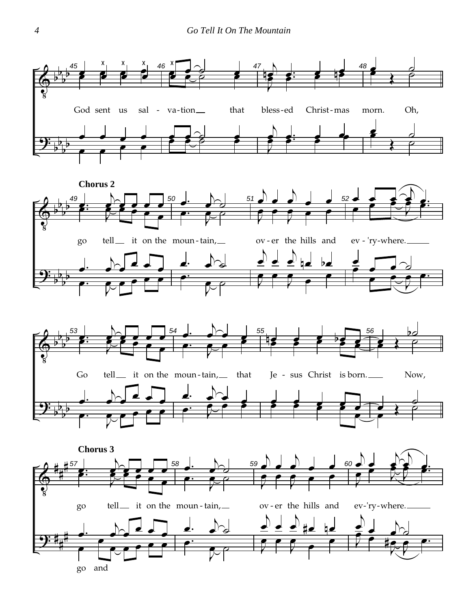





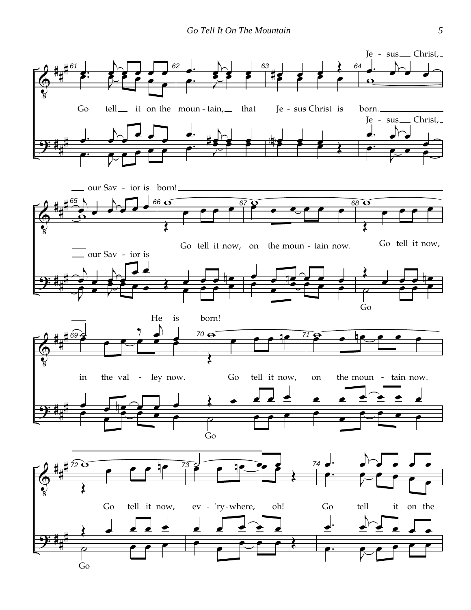